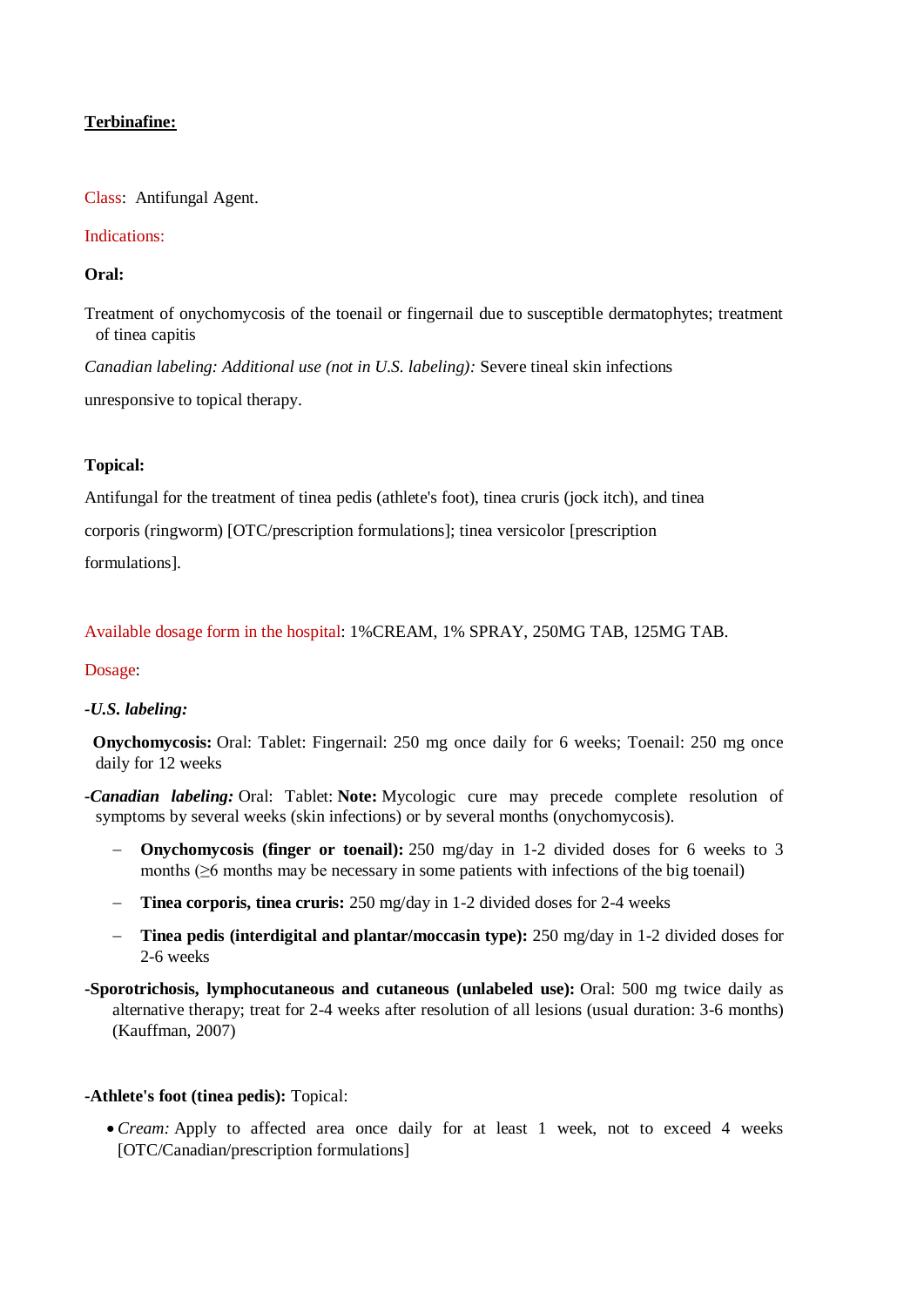# **Terbinafine:**

Class: Antifungal Agent.

#### Indications:

## **Oral:**

Treatment of onychomycosis of the toenail or fingernail due to susceptible dermatophytes; treatment of tinea capitis

*Canadian labeling: Additional use (not in U.S. labeling):* Severe tineal skin infections unresponsive to topical therapy.

## **Topical:**

Antifungal for the treatment of tinea pedis (athlete's foot), tinea cruris (jock itch), and tinea corporis (ringworm) [OTC/prescription formulations]; tinea versicolor [prescription

formulations].

## Available dosage form in the hospital: 1%CREAM, 1% SPRAY, 250MG TAB, 125MG TAB.

## Dosage:

## *-U.S. labeling:*

 **Onychomycosis:** Oral: Tablet: Fingernail: 250 mg once daily for 6 weeks; Toenail: 250 mg once daily for 12 weeks

*-Canadian labeling:* Oral: Tablet: **Note:** Mycologic cure may precede complete resolution of symptoms by several weeks (skin infections) or by several months (onychomycosis).

- **Onychomycosis (finger or toenail):** 250 mg/day in 1-2 divided doses for 6 weeks to 3 months (≥6 months may be necessary in some patients with infections of the big toenail)
- **Tinea corporis, tinea cruris:** 250 mg/day in 1-2 divided doses for 2-4 weeks
- **Tinea pedis (interdigital and plantar/moccasin type):** 250 mg/day in 1-2 divided doses for 2-6 weeks
- **-Sporotrichosis, lymphocutaneous and cutaneous (unlabeled use):** Oral: 500 mg twice daily as alternative therapy; treat for 2-4 weeks after resolution of all lesions (usual duration: 3-6 months) (Kauffman, 2007)

## **-Athlete's foot (tinea pedis):** Topical:

 *Cream:* Apply to affected area once daily for at least 1 week, not to exceed 4 weeks [OTC/Canadian/prescription formulations]